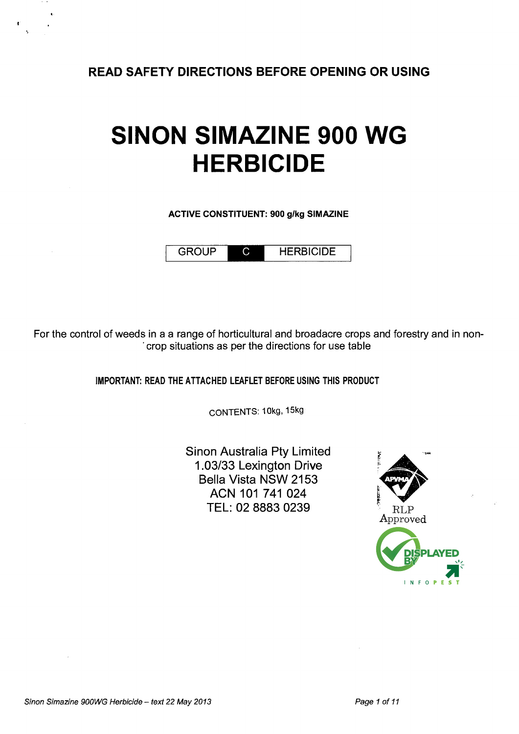**READ SAFETY DIRECTIONS BEFORE OPENING OR USING** 

# **SINON SIMAZINE 900 WG HERBICIDE**

ACTIVE CONSTITUENT: 900 g/kg SIMAZINE

GROUP HERBICIDE

For the control of weeds in a a range of horticultural and broadacre crops and forestry and in non- . crop situations as per the directions for use table

IMPORTANT: READ THE ATTACHED LEAFLET BEFORE USING THIS PRODUCT

CONTENTS: 10kg, 15kg

Sinon Australia Pty Limited 1.03/33 Lexington Drive Bella Vista NSW 2153 ACN 101 741 024 TEL: 02 8883 0239

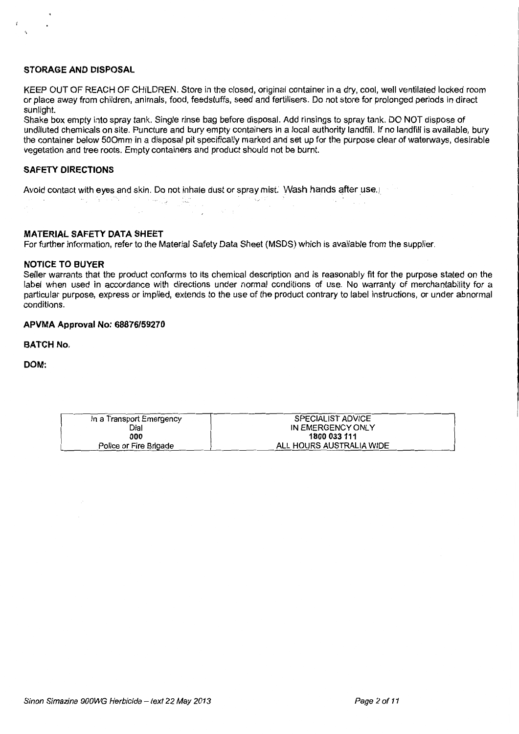## **STORAGE AND DISPOSAL**

 $\hat{S}$ 

KEEP OUT OF REACH OF CHILDREN. Store in the closed, original container in a dry, cool, well ventilated locked room or place away from children, animals, food, feedstuffs, seed and fertilisers. Do not store for prolonged periods in direct sunlight.

Shake box empty into spray tank. Single rinse bag before disposal. Add rinsings to spray tank. DO NOT dispose of undiluted chemicals on site. Puncture and bury empty containers in a local authority landfill. If no landfill is available, bury the container below 500mm in a disposal pit specifically marked and set up for the purpose clear of waterways, desirable vegetation and tree roots. Empty containers and product should not be burnt.

## **SAFETY DIRECTIONS**

Avoid contact with eyes and skin. Do not inhale dust or spray mist. Wash hands after use. I  $\frac{1}{2}$  , i.e.  $\frac{1}{2}$  ,  $\frac{1}{2}$  ,  $\frac{1}{2}$  ,  $\frac{1}{2}$  ,  $\frac{1}{2}$  ,  $\frac{1}{2}$  ,  $\frac{1}{2}$  ,  $\frac{1}{2}$  ,  $\frac{1}{2}$  ,  $\frac{1}{2}$  ,  $\frac{1}{2}$  ,  $\frac{1}{2}$  ,  $\frac{1}{2}$  ,  $\frac{1}{2}$  ,  $\frac{1}{2}$  ,  $\frac{1}{2}$  ,  $\frac{1}{2}$  ,

#### **MATERIAL SAFETY DATA SHEET**

For further information, refer to the Material Safety Data Sheet (MSDS) which is available from the supplier.

#### **NOTICE TO BUYER**

Seller warrants that the product conforms to its chemical description and is reasonably fit for the purpose stated on the label when used in accordance with directions under normal conditions of use. No warranty of merchantability for a particular purpose, express or implied, extends to the use of the product contrary to label instructions, or under abnormal conditions.

## **APVMA Approval No: 68876/59270**

**BATCH No.** 

**DOM:** 

| In a Transport Emergency | <b>SPECIALIST ADVICE</b> |
|--------------------------|--------------------------|
| Dial                     | IN EMERGENCY ONLY        |
| 000                      | 1800 033 111             |
| Police or Fire Brigade   | ALL HOURS AUSTRALIA WIDE |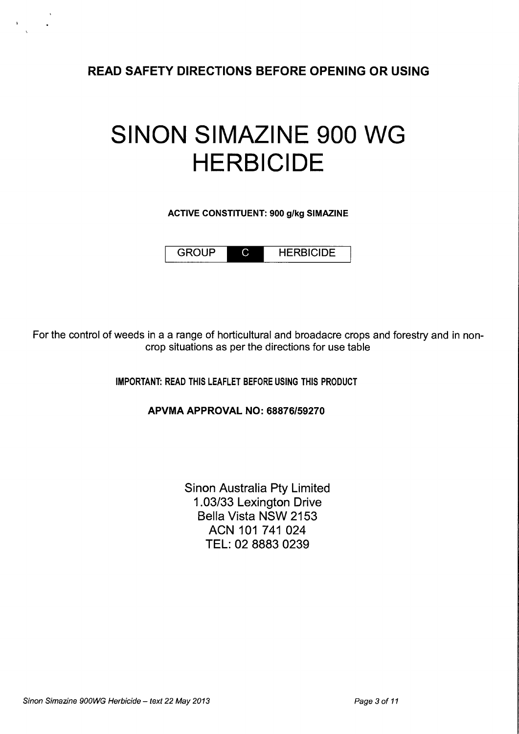READ SAFETY DIRECTIONS BEFORE OPENING OR USING

# SINON SIMAZINE **900** WG **HERBICIDE**

ACTIVE CONSTITUENT: 900 g/kg SIMAZINE

GROUP C HERBICIDE

For the control of weeds in a a range of horticultural and broadacre crops and forestry and in noncrop situations as per the directions for use table

IMPORTANT: READ THIS LEAFLET BEFORE USING THIS PRODUCT

APVMA APPROVAL NO: 68876/59270

Sinon Australia Pty Limited 1.03/33 Lexington Drive Bella Vista NSW 2153 ACN 101 741 024 TEL: 02 8883 0239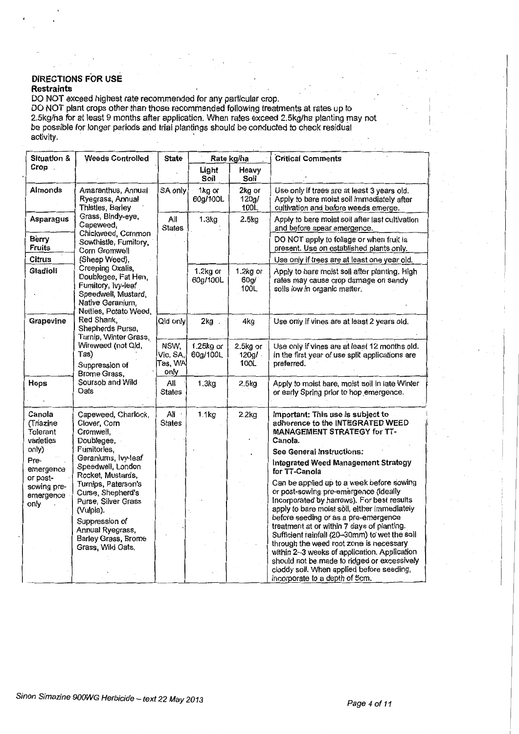#### . <u>. . . .</u> . DIRECTIONS FOR USE Restraints

DO NOT exceed highest rate recommended for any particular crop.

DO NOT plant crops other than those recommended following treatments at rates up to 2.5kg/ha for at least 9 months after application. When rates exceed 2.5kg/ha planting may not be possible for longer periods and trial plantings should be conducted to check residual  $\blacksquare$ activity.  $\blacksquare$ 

| Situation &                                  | <b>Weeds Controlled</b>                                                              | State                               | Rate kg/ha            |                               | <b>Critical Comments</b>                                                                                                                                                                                                       |
|----------------------------------------------|--------------------------------------------------------------------------------------|-------------------------------------|-----------------------|-------------------------------|--------------------------------------------------------------------------------------------------------------------------------------------------------------------------------------------------------------------------------|
| Crop.                                        |                                                                                      |                                     | Light<br>Soil         | Heavy<br>Soil                 |                                                                                                                                                                                                                                |
| Almonds                                      | Amaranthus, Annual<br>Ryegrass, Annual<br>Thistles, Barley                           | SA only                             | 1kg or<br>60g/100L    | 2kg or<br>120g/<br>100L       | Use only if trees are at least 3 years old.<br>Apply to bare moist soil immediately after<br>cultivation and before weeds emerge.                                                                                              |
| Asparagus                                    | Grass, Bindy-eye,<br>Capeweed,                                                       | All<br><b>States</b>                | 1.3kg                 | 2.5kg                         | Apply to bare moist soil after last cultivation<br>and before spear emergence.                                                                                                                                                 |
| Berry<br><b>Fruits</b>                       | Chickweed, Common<br>Sowthistle, Fumitory,<br>Corn Gromwell                          |                                     |                       |                               | DO NOT apply to foliage or when fruit is<br>present. Use on established plants only.                                                                                                                                           |
| Citrus                                       | (Sheep Weed),                                                                        |                                     |                       |                               | Use only if trees are at least one year old.                                                                                                                                                                                   |
| Gladioli                                     | Creeping Oxalis,<br>Doublegee, Fat Hen,<br>Fumitory, Ivy-leaf<br>Speedwell, Mustard, |                                     | 1.2kg or<br>60g/100L  | 1.2kg or<br>60g/<br>100L      | Apply to bare moist soil after planting. High<br>rates may cause crop damage on sandy<br>soils low in organic matter.                                                                                                          |
|                                              | Native Geranium,<br>Nettles, Potato Weed,                                            |                                     |                       |                               |                                                                                                                                                                                                                                |
| Grapevine                                    | Red Shank,<br>Shepherds Purse,<br>Turnip, Winter Grass,                              | Qid only                            | 2kg                   | 4kg                           | Use only if vines are at least 2 years old.                                                                                                                                                                                    |
|                                              | Wireweed (not Qld,<br>Tas)<br>Suppression of<br>Brome Grass,                         | NSW,<br>Vic, SA,<br>Tas, WA<br>only | 1.25kg or<br>60g/100L | 2.5kg or<br>$120g/$ .<br>100L | Use only if vines are at least 12 months old.<br>In the first year of use split applications are<br>preferred.                                                                                                                 |
| Hops                                         | Soursob and Wild<br>Oats                                                             | All<br>States                       | 1.3kg                 | 2.5kg                         | Apply to moist bare, moist soil in late Winter<br>or early Spring prior to hop emergence.                                                                                                                                      |
| Canola<br>(Triazine<br>Tolerant<br>varieties | Capeweed, Charlock,<br>Clover, Corn<br>Cromwell,<br>Doublegee,                       | All<br><b>States</b>                | 1.1kg                 | 2.2kg                         | Important: This use is subject to<br>adherence to the INTEGRATED WEED<br>MANAGEMENT STRATEGY for TT-<br>Canola.                                                                                                                |
| only)                                        | Fumitories,                                                                          |                                     |                       |                               | See General Instructions:                                                                                                                                                                                                      |
| Pre-<br>emergence                            | Geraniums, lvy-leaf<br>Speedwell, London<br>Rocket, Mustards,                        |                                     |                       |                               | Integrated Weed Management Strategy<br>for TT-Canola                                                                                                                                                                           |
| or post-<br>sowing pre-<br>emergence<br>only | Turnips, Paterson's<br>Curse, Shepherd's<br>Purse, Silver Grass<br>(Vulpia).         |                                     |                       |                               | Can be applied up to a week before sowing<br>or post-sowing pre-emergence (ideally<br>Incorporated by harrows). For best results<br>apply to bare moist soil, either immediately                                               |
|                                              | Suppression of<br>Annual Ryegrass,<br>Barley Grass, Brome<br>Grass, Wild Oats.       |                                     |                       |                               | before seeding or as a pre-emergence<br>treatment at or within 7 days of planting.<br>Sufficient rainfall (20-30mm) to wet the soil<br>through the weed root zone is necessary<br>within 2-3 weeks of application. Application |
|                                              |                                                                                      |                                     |                       |                               | should not be made to ridged or excessively<br>cloddy soil. When applied before seeding,<br>incorporate to a depth of 5cm.                                                                                                     |

 $\vert$ I *!*  I I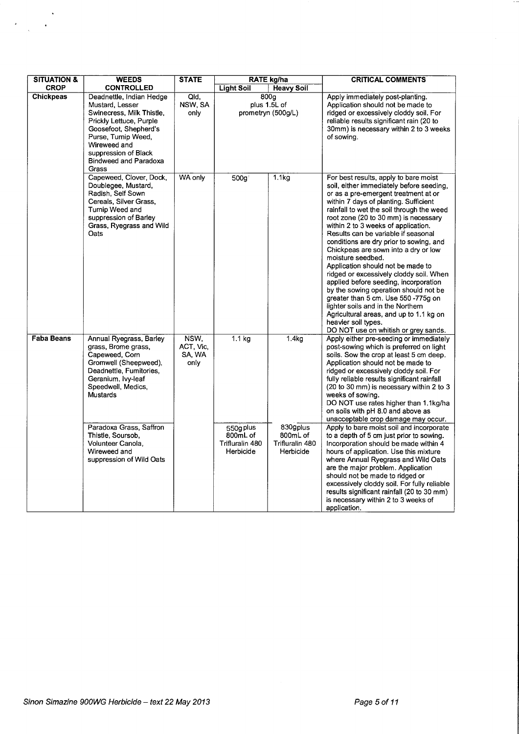| <b>SITUATION &amp;</b> | <b>WEEDS</b>                                                                                                                                                                                                                                      | <b>STATE</b>                        |                                                               | <b>RATE kg/ha</b>                                            | <b>CRITICAL COMMENTS</b>                                                                                                                                                                                                                                                                                                                                                                                                                                                                                                                                                                                                                                                                                                                                                                              |
|------------------------|---------------------------------------------------------------------------------------------------------------------------------------------------------------------------------------------------------------------------------------------------|-------------------------------------|---------------------------------------------------------------|--------------------------------------------------------------|-------------------------------------------------------------------------------------------------------------------------------------------------------------------------------------------------------------------------------------------------------------------------------------------------------------------------------------------------------------------------------------------------------------------------------------------------------------------------------------------------------------------------------------------------------------------------------------------------------------------------------------------------------------------------------------------------------------------------------------------------------------------------------------------------------|
| <b>CROP</b>            | <b>CONTROLLED</b>                                                                                                                                                                                                                                 |                                     | <b>Light Soil</b><br><b>Heavy Soil</b>                        |                                                              |                                                                                                                                                                                                                                                                                                                                                                                                                                                                                                                                                                                                                                                                                                                                                                                                       |
| <b>Chickpeas</b>       | Deadnettle, Indian Hedge<br>Mustard, Lesser<br>Swinecress, Milk Thistle,<br>Prickly Lettuce, Purple<br>Goosefoot, Shepherd's<br>Purse, Turnip Weed,<br>Wireweed and<br>suppression of Black<br>Bindweed and Paradoxa<br>Grass                     | Qld,<br>NSW, SA<br>only             | 800g<br>plus 1.5L of<br>prometryn (500g/L)                    |                                                              | Apply immediately post-planting.<br>Application should not be made to<br>ridged or excessively cloddy soil. For<br>reliable results significant rain (20 to<br>30mm) is necessary within 2 to 3 weeks<br>of sowing.                                                                                                                                                                                                                                                                                                                                                                                                                                                                                                                                                                                   |
|                        | Capeweed, Clover, Dock,<br>Doublegee, Mustard,<br>Radish, Self Sown<br>Cereals, Silver Grass,<br>Turnip Weed and<br>suppression of Barley<br>Grass, Ryegrass and Wild<br>Oats                                                                     | WA only                             | 500g <sup>3</sup>                                             | 1.1kg                                                        | For best results, apply to bare moist<br>soil, either immediately before seeding,<br>or as a pre-emergent treatment at or<br>within 7 days of planting. Sufficient<br>rainfall to wet the soil through the weed<br>root zone (20 to 30 mm) is necessary<br>within 2 to 3 weeks of application.<br>Results can be variable if seasonal<br>conditions are dry prior to sowing, and<br>Chickpeas are sown into a dry or low<br>moisture seedbed.<br>Application should not be made to<br>ridged or excessively cloddy soil. When<br>applied before seeding, incorporation<br>by the sowing operation should not be<br>greater than 5 cm. Use 550 -775g on<br>lighter soils and in the Northern<br>Agricultural areas, and up to 1.1 kg on<br>heavier soil types.<br>DO NOT use on whitish or grey sands. |
| <b>Faba Beans</b>      | Annual Ryegrass, Barley<br>grass, Brome grass,<br>Capeweed, Corn<br>Gromwell (Sheepweed),<br>Deadnettle, Fumitories,<br>Geranium, Ivy-leaf<br>Speedwell, Medics,<br>Mustards<br>Paradoxa Grass, Saffron<br>Thistle, Soursob,<br>Volunteer Canola, | NSW,<br>ACT, Vic.<br>SA, WA<br>only | 1.1 <sub>kg</sub><br>550g plus<br>800mL of<br>Trifluralin 480 | 1.4 <sub>kg</sub><br>830gplus<br>800mL of<br>Trifluralin 480 | Apply either pre-seeding or immediately<br>post-sowing which is preferred on light<br>soils. Sow the crop at least 5 cm deep.<br>Application should not be made to<br>ridged or excessively cloddy soil. For<br>fully reliable results significant rainfall<br>(20 to 30 mm) is necessary within 2 to 3<br>weeks of sowing.<br>DO NOT use rates higher than 1.1kg/ha<br>on soils with pH 8.0 and above as<br>unacceptable crop damage may occur.<br>Apply to bare moist soil and incorporate<br>to a depth of 5 cm just prior to sowing.<br>Incorporation should be made within 4                                                                                                                                                                                                                     |
|                        | Wireweed and<br>suppression of Wild Oats                                                                                                                                                                                                          |                                     | Herbicide                                                     | Herbicide                                                    | hours of application. Use this mixture<br>where Annual Ryegrass and Wild Oats<br>are the major problem. Application<br>should not be made to ridged or<br>excessively cloddy soil. For fully reliable<br>results significant rainfall (20 to 30 mm)<br>is necessary within 2 to 3 weeks of<br>application.                                                                                                                                                                                                                                                                                                                                                                                                                                                                                            |

 $\langle \rangle$ 

 $\bar{\mathbf{r}}$ 

 $\ddot{\phantom{0}}$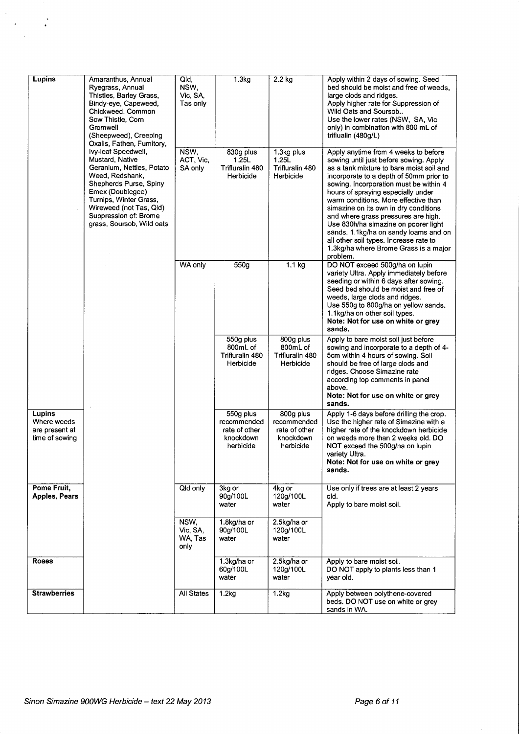| Lupins                                                    | Amaranthus, Annual<br>Ryegrass, Annual<br>Thistles, Barley Grass,<br>Bindy-eye, Capeweed,<br>Chickweed, Common<br>Sow Thistle, Corn<br>Gromwell<br>(Sheepweed), Creeping<br>Oxalis, Fathen, Fumitory,<br>Ivy-leaf Speedwell, | Qld,<br>NSW.<br>Vic, SA,<br>Tas only<br>NSW, | 1.3 <sub>kg</sub><br>830g plus                                      | $2.2$ kg<br>1.3kg plus                                              | Apply within 2 days of sowing. Seed<br>bed should be moist and free of weeds.<br>large clods and ridges.<br>Apply higher rate for Suppression of<br>Wild Oats and Soursob<br>Use the lower rates (NSW, SA, Vic<br>only) in combination with 800 mL of<br>triflualin (480g/L)<br>Apply anytime from 4 weeks to before                                                                                                                                                                                                  |
|-----------------------------------------------------------|------------------------------------------------------------------------------------------------------------------------------------------------------------------------------------------------------------------------------|----------------------------------------------|---------------------------------------------------------------------|---------------------------------------------------------------------|-----------------------------------------------------------------------------------------------------------------------------------------------------------------------------------------------------------------------------------------------------------------------------------------------------------------------------------------------------------------------------------------------------------------------------------------------------------------------------------------------------------------------|
|                                                           | Mustard, Native<br>Geranium, Nettles, Potato<br>Weed, Redshank,<br>Shepherds Purse, Spiny<br>Emex (Doublegee)<br>Turnips, Winter Grass,<br>Wireweed (not Tas, Qld)<br>Suppression of: Brome<br>grass, Soursob, Wild oats     | ACT, Vic,<br>SA only                         | 1.25L<br>Trifluralin 480<br>Herbicide                               | 1.25L<br>Trifluralin 480<br>Herbicide                               | sowing until just before sowing. Apply<br>as a tank mixture to bare moist soil and<br>incorporate to a depth of 50mm prior to<br>sowing. Incorporation must be within 4<br>hours of spraying especially under<br>warm conditions. More effective than<br>simazine on its own in dry conditions<br>and where grass pressures are high.<br>Use 830h/ha simazine on poorer light<br>sands. 1.1kg/ha on sandy loams and on<br>all other soil types. Increase rate to<br>1.3kg/ha where Brome Grass is a major<br>problem. |
|                                                           |                                                                                                                                                                                                                              | WA only                                      | 550g                                                                | 1.1 <sub>kg</sub>                                                   | DO NOT exceed 500g/ha on lupin<br>variety Ultra. Apply immediately before<br>seeding or within 6 days after sowing.<br>Seed bed should be moist and free of<br>weeds, large clods and ridges.<br>Use 550g to 800g/ha on yellow sands.<br>1.1kg/ha on other soil types.<br>Note: Not for use on white or grey<br>sands.                                                                                                                                                                                                |
|                                                           |                                                                                                                                                                                                                              |                                              | 550g plus<br>800mL of<br>Trifluralin 480<br>Herbicide               | 800g plus<br>800mL of<br>Trifluralin 480<br>Herbicide               | Apply to bare moist soil just before<br>sowing and incorporate to a depth of 4-<br>5cm within 4 hours of sowing. Soil<br>should be free of large clods and<br>ridges. Choose Simazine rate<br>according top comments in panel<br>above.<br>Note: Not for use on white or grey<br>sands.                                                                                                                                                                                                                               |
| Lupins<br>Where weeds<br>are present at<br>time of sowing |                                                                                                                                                                                                                              |                                              | 550g plus<br>recommended<br>rate of other<br>knockdown<br>herbicide | 800g plus<br>recommended<br>rate of other<br>knockdown<br>herbicide | Apply 1-6 days before drilling the crop.<br>Use the higher rate of Simazine with a<br>higher rate of the knockdown herbicide<br>on weeds more than 2 weeks old. DO<br>NOT exceed the 500g/ha on lupin<br>variety Ultra.<br>Note: Not for use on white or grey<br>sands.                                                                                                                                                                                                                                               |
| Pome Fruit,<br><b>Apples, Pears</b>                       |                                                                                                                                                                                                                              | Qid only                                     | 3kg or<br>90g/100L<br>water                                         | 4kg or<br>120g/100L<br>water                                        | Use only if trees are at least 2 years<br>old.<br>Apply to bare moist soil.                                                                                                                                                                                                                                                                                                                                                                                                                                           |
|                                                           |                                                                                                                                                                                                                              | NSW,<br>Vic, SA,<br>WA, Tas<br>only          | 1.8kg/ha or<br>90g/100L<br>water                                    | 2.5kg/ha or<br>120g/100L<br>water                                   |                                                                                                                                                                                                                                                                                                                                                                                                                                                                                                                       |
| <b>Roses</b>                                              |                                                                                                                                                                                                                              |                                              | 1.3kg/ha or<br>60g/100L<br>water                                    | 2.5kg/ha or<br>120g/100L<br>water                                   | Apply to bare moist soil.<br>DO NOT apply to plants less than 1<br>year old.                                                                                                                                                                                                                                                                                                                                                                                                                                          |
| <b>Strawberries</b>                                       |                                                                                                                                                                                                                              | <b>All States</b>                            | 1.2kg                                                               | 1.2kg                                                               | Apply between polythene-covered<br>beds. DO NOT use on white or grey<br>sands in WA.                                                                                                                                                                                                                                                                                                                                                                                                                                  |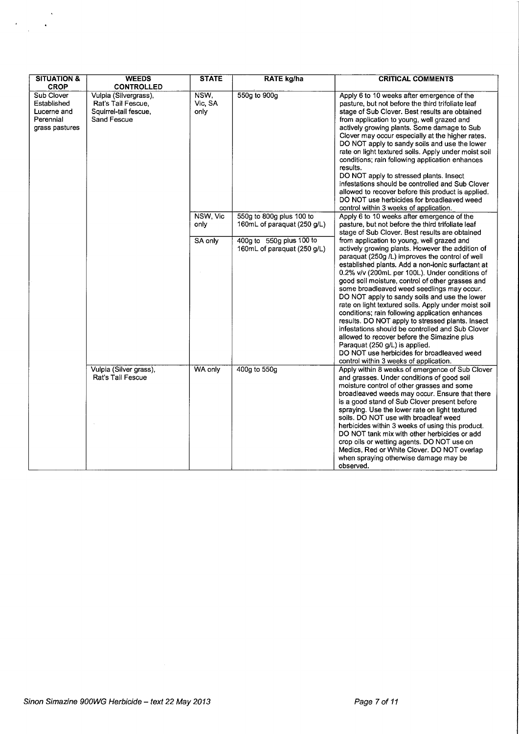| <b>SITUATION &amp;</b>                                                                 | <b>WEEDS</b>                                                                                             | <b>STATE</b>                | <b>RATE kg/ha</b>                                                                                                  | <b>CRITICAL COMMENTS</b>                                                                                                                                                                                                                                                                                                                                                                                                                                                                                                                                                                                                                                                                                                |
|----------------------------------------------------------------------------------------|----------------------------------------------------------------------------------------------------------|-----------------------------|--------------------------------------------------------------------------------------------------------------------|-------------------------------------------------------------------------------------------------------------------------------------------------------------------------------------------------------------------------------------------------------------------------------------------------------------------------------------------------------------------------------------------------------------------------------------------------------------------------------------------------------------------------------------------------------------------------------------------------------------------------------------------------------------------------------------------------------------------------|
| <b>CROP</b><br>Sub Clover<br>Established<br>Lucerne and<br>Perennial<br>grass pastures | <b>CONTROLLED</b><br>Vulpia (Silvergrass),<br>Rat's Tail Fescue.<br>Squirrel-tail fescue.<br>Sand Fescue | NSW,<br>Vic, SA<br>only     | 550g to 900g                                                                                                       | Apply 6 to 10 weeks after emergence of the<br>pasture, but not before the third trifoliate leaf<br>stage of Sub Clover. Best results are obtained<br>from application to young, well grazed and<br>actively growing plants. Some damage to Sub<br>Clover may occur especially at the higher rates.<br>DO NOT apply to sandy soils and use the lower<br>rate on light textured soils. Apply under moist soil<br>conditions; rain following application enhances<br>results.<br>DO NOT apply to stressed plants. Insect<br>infestations should be controlled and Sub Clover<br>allowed to recover before this product is applied.<br>DO NOT use herbicides for broadleaved weed<br>control within 3 weeks of application. |
|                                                                                        |                                                                                                          | NSW, Vic<br>only<br>SA only | 550g to 800g plus 100 to<br>160mL of paraquat (250 g/L)<br>400g to 550g plus 100 to<br>160mL of paraquat (250 g/L) | Apply 6 to 10 weeks after emergence of the<br>pasture, but not before the third trifoliate leaf<br>stage of Sub Clover. Best results are obtained<br>from application to young, well grazed and<br>actively growing plants. However the addition of                                                                                                                                                                                                                                                                                                                                                                                                                                                                     |
|                                                                                        |                                                                                                          |                             |                                                                                                                    | paraquat (250g /L) improves the control of well<br>established plants. Add a non-ionic surfactant at<br>0.2% v/v (200mL per 100L). Under conditions of<br>good soil moisture, control of other grasses and<br>some broadleaved weed seedlings may occur.<br>DO NOT apply to sandy soils and use the lower<br>rate on light textured soils. Apply under moist soil<br>conditions; rain following application enhances<br>results. DO NOT apply to stressed plants. Insect<br>infestations should be controlled and Sub Clover<br>allowed to recover before the Simazine plus<br>Paraquat (250 g/L) is applied.<br>DO NOT use herbicides for broadleaved weed<br>control within 3 weeks of application.                   |
|                                                                                        | Vulpia (Silver grass),<br>Rat's Tail Fescue                                                              | WA only                     | 400g to 550g                                                                                                       | Apply within 8 weeks of emergence of Sub Clover<br>and grasses. Under conditions of good soil<br>moisture control of other grasses and some<br>broadleaved weeds may occur. Ensure that there<br>is a good stand of Sub Clover present before<br>spraying. Use the lower rate on light textured<br>soils. DO NOT use with broadleaf weed<br>herbicides within 3 weeks of using this product.<br>DO NOT tank mix with other herbicides or add<br>crop oils or wetting agents. DO NOT use on<br>Medics, Red or White Clover. DO NOT overlap<br>when spraying otherwise damage may be<br>observed.                                                                                                                         |

 $\label{eq:2} \begin{split} \mathcal{L}_{\text{max}} = \frac{1}{2} \mathcal{L} \mathcal{L}_{\text{max}} \\ \mathcal{L}_{\text{max}} = \frac{1}{2} \mathcal{L}_{\text{max}} \\ \mathcal{L}_{\text{max}} = \frac{1}{2} \mathcal{L}_{\text{max}} \\ \mathcal{L}_{\text{max}} = \frac{1}{2} \mathcal{L}_{\text{max}} \\ \mathcal{L}_{\text{max}} = \frac{1}{2} \mathcal{L}_{\text{max}} \\ \mathcal{L}_{\text{max}} = \frac{1}{2} \mathcal{L}_{\text{max}} \\ \mathcal{L}_{\text{max}} = \frac{1$ 

 $\sim$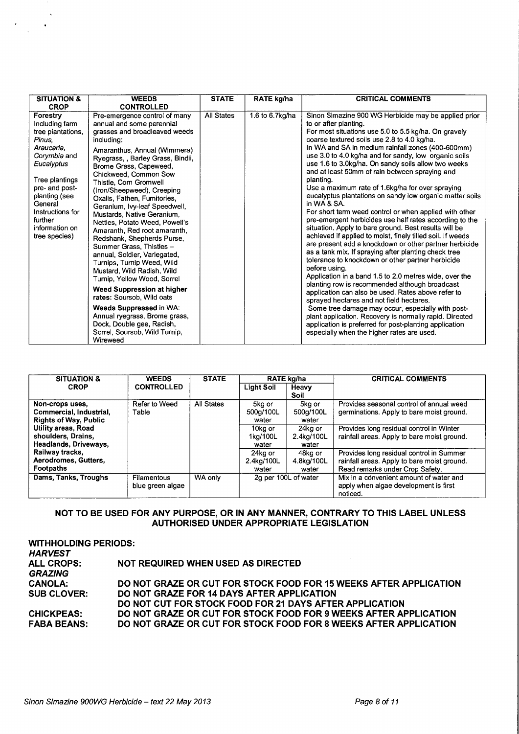| <b>SITUATION &amp;</b>                                                                                                                                                                                                                  | <b>WEEDS</b>                                                                                                                                                                                                                                                                                                                                                                                                                                                                                                                                                                                                                                                                                                                                                                                                                                    | <b>STATE</b>      | RATE kg/ha      | <b>CRITICAL COMMENTS</b>                                                                                                                                                                                                                                                                                                                                                                                                                                                                                                                                                                                                                                                                                                                                                                                                                                                                                                                                                                                                                                                                                                                                                                                                                                                                                                                                                                                                          |
|-----------------------------------------------------------------------------------------------------------------------------------------------------------------------------------------------------------------------------------------|-------------------------------------------------------------------------------------------------------------------------------------------------------------------------------------------------------------------------------------------------------------------------------------------------------------------------------------------------------------------------------------------------------------------------------------------------------------------------------------------------------------------------------------------------------------------------------------------------------------------------------------------------------------------------------------------------------------------------------------------------------------------------------------------------------------------------------------------------|-------------------|-----------------|-----------------------------------------------------------------------------------------------------------------------------------------------------------------------------------------------------------------------------------------------------------------------------------------------------------------------------------------------------------------------------------------------------------------------------------------------------------------------------------------------------------------------------------------------------------------------------------------------------------------------------------------------------------------------------------------------------------------------------------------------------------------------------------------------------------------------------------------------------------------------------------------------------------------------------------------------------------------------------------------------------------------------------------------------------------------------------------------------------------------------------------------------------------------------------------------------------------------------------------------------------------------------------------------------------------------------------------------------------------------------------------------------------------------------------------|
| <b>CROP</b>                                                                                                                                                                                                                             | <b>CONTROLLED</b>                                                                                                                                                                                                                                                                                                                                                                                                                                                                                                                                                                                                                                                                                                                                                                                                                               |                   |                 |                                                                                                                                                                                                                                                                                                                                                                                                                                                                                                                                                                                                                                                                                                                                                                                                                                                                                                                                                                                                                                                                                                                                                                                                                                                                                                                                                                                                                                   |
| Forestry<br>Including farm<br>tree plantations,<br>Pinus.<br>Araucaria.<br>Corymbia and<br>Eucalyptus<br>Tree plantings<br>pre- and post-<br>planting (see<br>General<br>Instructions for<br>further<br>information on<br>tree species) | Pre-emergence control of many<br>annual and some perennial<br>grasses and broadleaved weeds<br>including:<br>Amaranthus, Annual (Wimmera)<br>Ryegrass, , Barley Grass, Bindii,<br>Brome Grass, Capeweed,<br>Chickweed, Common Sow<br>Thistle, Corn Gromwell<br>(Iron/Sheepweed), Creeping<br>Oxalis, Fathen, Fumitories,<br>Geranium, Ivy-leaf Speedwell,<br>Mustards, Native Geranium,<br>Nettles, Potato Weed, Powell's<br>Amaranth, Red root amaranth,<br>Redshank, Shepherds Purse,<br>Summer Grass, Thistles -<br>annual, Soldier, Variegated,<br>Turnips, Turnip Weed, Wild<br>Mustard, Wild Radish, Wild<br>Turnip, Yellow Wood, Sorrel<br>Weed Suppression at higher<br>rates: Soursob, Wild oats<br>Weeds Suppressed in WA:<br>Annual ryegrass, Brome grass,<br>Dock, Double gee, Radish,<br>Sorrel, Soursob, Wild Turnip,<br>Wireweed | <b>All States</b> | 1.6 to 6.7kg/ha | Sinon Simazine 900 WG Herbicide may be applied prior<br>to or after planting.<br>For most situations use 5.0 to 5.5 kg/ha. On gravely<br>coarse textured soils use 2.8 to 4.0 kg/ha.<br>In WA and SA in medium rainfall zones (400-600mm)<br>use 3.0 to 4.0 kg/ha and for sandy, low organic soils<br>use 1.6 to 3.0kg/ha. On sandy soils allow two weeks<br>and at least 50mm of rain between spraying and<br>planting.<br>Use a maximum rate of 1.6kg/ha for over spraying<br>eucalyptus plantations on sandy low organic matter soils<br>in WA & SA.<br>For short term weed control or when applied with other<br>pre-emergent herbicides use half rates according to the<br>situation. Apply to bare ground. Best results will be<br>achieved if applied to moist, finely tilled soil. If weeds<br>are present add a knockdown or other partner herbicide<br>as a tank mix. If spraying after planting check tree<br>tolerance to knockdown or other partner herbicide<br>before using.<br>Application in a band 1.5 to 2.0 metres wide, over the<br>planting row is recommended although broadcast<br>application can also be used. Rates above refer to<br>sprayed hectares and not field hectares.<br>Some tree damage may occur, especially with post-<br>plant application. Recovery is normally rapid. Directed<br>application is preferred for post-planting application<br>especially when the higher rates are used. |

| <b>SITUATION &amp;</b>       | <b>WEEDS</b>      | <b>STATE</b> | RATE kg/ha        |                      | <b>CRITICAL COMMENTS</b>                    |
|------------------------------|-------------------|--------------|-------------------|----------------------|---------------------------------------------|
| <b>CROP</b>                  | <b>CONTROLLED</b> |              | <b>Light Soil</b> | Heavy                |                                             |
|                              |                   |              |                   | Soil                 |                                             |
| Non-crops uses.              | Refer to Weed     | All States   | 5kg or            | 5kg or               | Provides seasonal control of annual weed    |
| Commercial, Industrial,      | Table             |              | 500a/100L         | 500g/100L            | germinations. Apply to bare moist ground.   |
| <b>Rights of Way, Public</b> |                   |              | water             | water                |                                             |
| Utility areas, Road          |                   |              | 10kg or           | 24ka or              | Provides long residual control in Winter    |
| shoulders, Drains,           |                   |              | 1ka/100L          | 2.4kg/100L           | rainfall areas. Apply to bare moist ground. |
| Headlands, Driveways,        |                   |              | water             | water                |                                             |
| Railway tracks,              |                   |              | 24kg or           | 48kg or              | Provides long residual control in Summer    |
| Aerodromes, Gutters,         |                   |              | 2.4kg/100L        | 4.8kg/100L           | rainfall areas. Apply to bare moist ground. |
| Footpaths                    |                   |              | water             | water                | Read remarks under Crop Safety.             |
| Dams, Tanks, Troughs         | Filamentous       | WA only      |                   | 2g per 100L of water | Mix in a convenient amount of water and     |
|                              | blue green algae  |              |                   |                      | apply when algae development is first       |
|                              |                   |              |                   |                      | noticed.                                    |

# **NOT TO BE USED FOR ANY PURPOSE, OR IN ANY MANNER, CONTRARY TO THIS LABEL UNLESS AUTHORISED UNDER APPROPRIATE LEGISLATION**

| <b>WITHHOLDING PERIODS:</b><br><b>HARVEST</b><br><b>ALL CROPS:</b><br><b>GRAZING</b> | NOT REQUIRED WHEN USED AS DIRECTED                                |
|--------------------------------------------------------------------------------------|-------------------------------------------------------------------|
| <b>CANOLA:</b>                                                                       | DO NOT GRAZE OR CUT FOR STOCK FOOD FOR 15 WEEKS AFTER APPLICATION |
| <b>SUB CLOVER:</b>                                                                   | DO NOT GRAZE FOR 14 DAYS AFTER APPLICATION                        |
|                                                                                      | DO NOT CUT FOR STOCK FOOD FOR 21 DAYS AFTER APPLICATION           |
| <b>CHICKPEAS:</b>                                                                    | DO NOT GRAZE OR CUT FOR STOCK FOOD FOR 9 WEEKS AFTER APPLICATION  |
| <b>FABA BEANS:</b>                                                                   | DO NOT GRAZE OR CUT FOR STOCK FOOD FOR 8 WEEKS AFTER APPLICATION  |

 $\bar{\mathbf{v}}$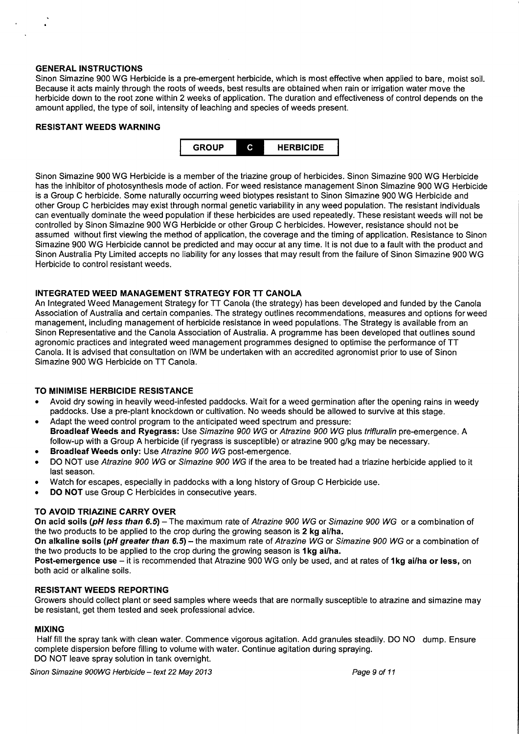# **GENERAL INSTRUCTIONS**

Sinon Simazine 900 WG Herbicide is a pre-emergent herbicide, which is most effective when applied to bare, moist soil. Because it acts mainly through the roots of weeds, best results are obtained when rain or irrigation water move the herbicide down to the root zone within 2 weeks of application. The duration and effectiveness of control depends on the amount applied, the type of soil, intensity of leaching and species of weeds present.

#### **RESISTANT WEEDS WARNING**



Sinon Simazine 900 WG Herbicide is a member of the triazine group of herbicides. Sinon Simazine 900 WG Herbicide has the inhibitor of photosynthesis mode of action. For weed resistance management Sinon Simazine 900 WG Herbicide is a Group C herbicide. Some naturally occurring weed biotypes resistant to Sinon Simazine 900 WG Herbicide and other Group C herbicides may exist through normal genetic variability in any weed population. The resistant individuals can eventually dominate the weed population if these herbicides are used repeatedly. These resistant weeds will not be controlled by Sinon Simazine 900 WG Herbicide or other Group C herbicides. However, resistance should not be assumed without first viewing the method of application, the coverage and the timing of application. Resistance to Sinon Simazine 900 WG Herbicide cannot be predicted and may occur at any time. It is not due to a fault with the product and Sinon Australia Pty Limited accepts no liability for any losses that may result from the failure of Sinon Simazine 900 WG Herbicide to control resistant weeds.

#### **INTEGRATED WEED MANAGEMENT STRATEGY FOR TT CANOLA**

An Integrated Weed Management Strategy for TT Canola (the strategy) has been developed and funded by the Canola Association of Australia and certain companies. The strategy outlines recommendations, measures and options for weed management, including management of herbicide resistance in weed populations. The Strategy is available from an Sinon Representative and the Canola Association of Australia. A programme has been developed that outlines sound agronomic practices and integrated weed management programmes designed to optimise the performance of **TT**  Canola. It is advised that consultation on IWM be undertaken with an accredited agronomist prior to use of Sinon Simazine 900 WG Herbicide on TT Canola.

#### **TO MINIMISE HERBICIDE RESISTANCE**

- Avoid dry sowing in heavily weed-infested paddocks. Wait for a weed germination after the opening rains in weedy paddocks. Use a pre-plant knockdown or cultivation. No weeds should be allowed to survive at this stage.
- Adapt the weed control program to the anticipated weed spectrum and pressure: **Broad leaf Weeds and Ryegrass:** Use Simazine 900 WG or Atrazine 900 WG plus trifluralin pre-emergence. A follow-up with a Group A herbicide (if ryegrass is susceptible} or atrazine 900 g/kg may be necessary.
- **Broad leaf Weeds only:** Use Atrazine 900 WG post-emergence.
- DO NOT use Atrazine 900 WG or Simazine 900 WG if the area to be treated had a triazine herbicide applied to it last season.
- Watch for escapes, especially in paddocks with a long history of Group C Herbicide use.
- **DO NOT** use Group C Herbicides in consecutive years.

# **TO AVOID TRIAZINE CARRY OVER**

**On acid soils (pH less than 6.5)-** The maximum rate of Atrazine 900 WG or Simazine 900 WG or a combination of the two products to be applied to the crop during the growing season is **2 kg ai/ha.** 

**On alkaline soils (pH greater than 6.5)-** the maximum rate of Atrazine WG or Simazine 900 WG or a combination of the two products to be applied to the crop during the growing season is **1 kg ai/ha.** 

**Post-emergence use-** it is recommended that Atrazine 900 WG only be used, and at rates of **1 kg ai/ha or less,** on both acid or alkaline soils.

## **RESISTANT WEEDS REPORTING**

Growers should collect plant or seed samples where weeds that are normally susceptible to atrazine and simazine may be resistant, get them tested and seek professional advice.

#### **MIXING**

Half fill the spray tank with clean water. Commence vigorous agitation. Add granules steadily. DO NO dump. Ensure complete dispersion before filling to volume with water. Continue agitation during spraying. DO NOT leave spray solution in tank overnight.

Sinon Simazine 900WG Herbicide - text 22 May 2013 **Page 9 of 11** Page 9 of 11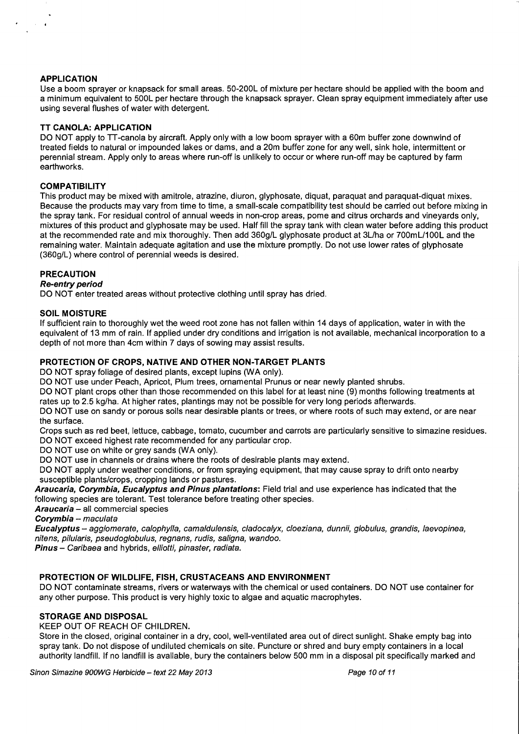## **APPLICATION**

 $\sim 10^{-11}$ 

Use a boom sprayer or knapsack for small areas. 50-200L of mixture per hectare should be applied with the boom and a minimum equivalent to 500L per hectare through the knapsack sprayer. Clean spray equipment immediately after use using several flushes of water with detergent.

## **TT CANOLA: APPLICATION**

DO NOT apply to TT-canola by aircraft. Apply only with a low boom sprayer with a 60m buffer zone downwind of treated fields to natural or impounded lakes or dams, and a 20m buffer zone for any well, sink hole, intermittent or perennial stream. Apply only to areas where run-off is unlikely to occur or where run-off may be captured by farm earthworks.

## **COMPATIBILITY**

This product may be mixed with amitrole, atrazine, diuron, glyphosate, diquat, paraquat and paraquat-diquat mixes. Because the products may vary from time to time, a small-scale compatibility test should be carried out before mixing in the spray tank. For residual control of annual weeds in non-crop areas, pome and citrus orchards and vineyards only, mixtures of this product and glyphosate may be used. Half fill the spray tank with clean water before adding this product at the recommended rate and mix thoroughly. Then add 360g/L glyphosate product at 3L/ha or 700mL/1 OOL and the remaining water. Maintain adequate agitation and use the mixture promptly. Do not use lower rates of glyphosate (360g/L) where control of perennial weeds is desired.

#### **PRECAUTION**

#### **Re-entry period**

DO NOT enter treated areas without protective clothing until spray has dried.

## **SOIL MOISTURE**

If sufficient rain to thoroughly wet the weed root zone has not fallen within 14 days of application, water in with the equivalent of 13 mm of rain. If applied under dry conditions and irrigation is not available, mechanical incorporation to a depth of not more than 4cm within 7 days of sowing may assist results.

#### **PROTECTION OF CROPS, NATIVE AND OTHER NON-TARGET PLANTS**

DO NOT spray foliage of desired plants, except lupins (WA only).

DO NOT use under Peach, Apricot, Plum trees, ornamental Prunus or near newly planted shrubs.

DO NOT plant crops other than those recommended on this label for at least nine (9) months following treatments at rates up to 2.5 kg/ha. At higher rates, plantings may not be possible for very long periods afterwards.

DO NOT use on sandy or porous soils near desirable plants or trees, or where roots of such may extend, or are near the surface.

Crops such as red beet, lettuce, cabbage, tomato, cucumber and carrots are particularly sensitive to simazine residues. DO NOT exceed highest rate recommended for any particular crop.

DO NOT use on white or grey sands (WA only).

DO NOT use in channels or drains where the roots of desirable plants may extend.

DO NOT apply under weather conditions, or from spraying equipment, that may cause spray to drift onto nearby susceptible plants/crops, cropping lands or pastures.

**Araucaria, Corymbia, Eucalyptus and Pinus plantations:** Field trial and use experience has indicated that the following species are tolerant. Test tolerance before treating other species.

**Araucaria-** all commercial species

**Corymbia** - maculata

**Eucalyptus** - agglomerate, calophylla, camaldulensis, cladocalyx, cloeziana, dunnii, globulus, grandis, laevopinea, nitens, pilularis, pseudog/obulus, regnans, rudis, saligna, wandoo.

Pinus - Caribaea and hybrids, elliotti, pinaster, radiata.

# **PROTECTION OF WILDLIFE, FISH, CRUSTACEANS AND ENVIRONMENT**

DO NOT contaminate streams, rivers or waterways with the chemical or used containers. DO NOT use container for any other purpose. This product is very highly toxic to algae and aquatic macrophytes.

## **STORAGE AND DISPOSAL**

KEEP OUT OF REACH OF CHILDREN.

Store in the closed, original container in a dry, cool, well-ventilated area out of direct sunlight. Shake empty bag into spray tank. Do not dispose of undiluted chemicals on site. Puncture or shred and bury empty containers in a local authority landfill. If no landfill is available, bury the containers below 500 mm in a disposal pit specifically marked and